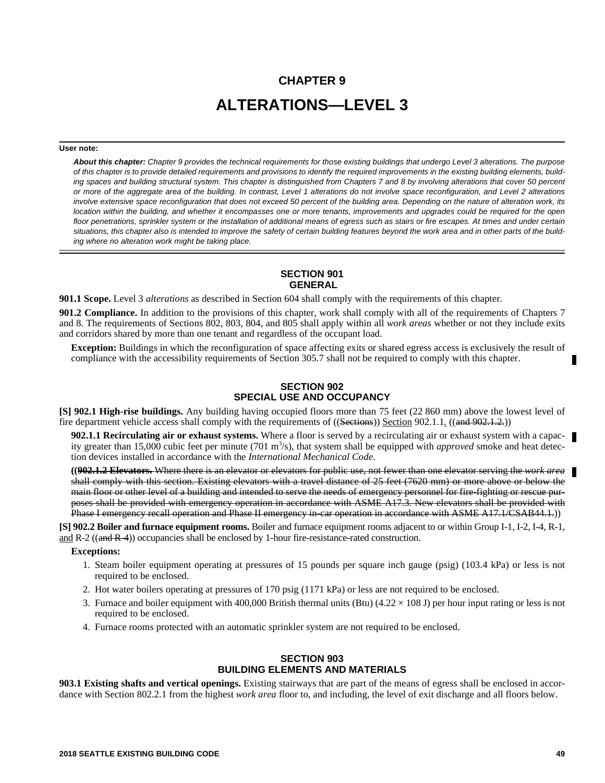# **CHAPTER 9 ALTERATIONS—LEVEL 3**

#### **User note:**

*About this chapter: Chapter 9 provides the technical requirements for those existing buildings that undergo Level 3 alterations. The purpose of this chapter is to provide detailed requirements and provisions to identify the required improvements in the existing building elements, building spaces and building structural system. This chapter is distinguished from Chapters 7 and 8 by involving alterations that cover 50 percent or more of the aggregate area of the building. In contrast, Level 1 alterations do not involve space reconfiguration, and Level 2 alterations involve extensive space reconfiguration that does not exceed 50 percent of the building area. Depending on the nature of alteration work, its location within the building, and whether it encompasses one or more tenants, improvements and upgrades could be required for the open floor penetrations, sprinkler system or the installation of additional means of egress such as stairs or fire escapes. At times and under certain situations, this chapter also is intended to improve the safety of certain building features beyond the work area and in other parts of the building where no alteration work might be taking place.*

### **SECTION 901 GENERAL**

**901.1 Scope.** Level 3 *alterations* as described in Section 604 shall comply with the requirements of this chapter.

**901.2 Compliance.** In addition to the provisions of this chapter, work shall comply with all of the requirements of Chapters 7 and 8. The requirements of Sections 802, 803, 804, and 805 shall apply within all *work areas* whether or not they include exits and corridors shared by more than one tenant and regardless of the occupant load.

**Exception:** Buildings in which the reconfiguration of space affecting exits or shared egress access is exclusively the result of compliance with the accessibility requirements of Section 305.7 shall not be required to comply with this chapter.

# **SECTION 902 SPECIAL USE AND OCCUPANCY**

**[S] 902.1 High-rise buildings.** Any building having occupied floors more than 75 feet (22 860 mm) above the lowest level of fire department vehicle access shall comply with the requirements of  $((Section 902.1.1)$ .  $((and 902.1.2))$ 

**902.1.1 Recirculating air or exhaust systems.** Where a floor is served by a recirculating air or exhaust system with a capacity greater than 15,000 cubic feet per minute (701 m<sup>3</sup>/s), that system shall be equipped with *approved* smoke and heat detection devices installed in accordance with the *International Mechanical Code*.

**((902.1.2 Elevators.** Where there is an elevator or elevators for public use, not fewer than one elevator serving the *work area* shall comply with this section. Existing elevators with a travel distance of 25 feet (7620 mm) or more above or below the main floor or other level of a building and intended to serve the needs of emergency personnel for fire-fighting or rescue purposes shall be provided with emergency operation in accordance with ASME A17.3. New elevators shall be provided with Phase I emergency recall operation and Phase II emergency in-car operation in accordance with ASME A17.1/CSAB44.1.))

**[S] 902.2 Boiler and furnace equipment rooms.** Boiler and furnace equipment rooms adjacent to or within Group I-1, I-2, I-4, R-1, and R-2 ((and R-4)) occupancies shall be enclosed by 1-hour fire-resistance-rated construction.

#### **Exceptions:**

- 1. Steam boiler equipment operating at pressures of 15 pounds per square inch gauge (psig) (103.4 kPa) or less is not required to be enclosed.
- 2. Hot water boilers operating at pressures of 170 psig (1171 kPa) or less are not required to be enclosed.
- 3. Furnace and boiler equipment with 400,000 British thermal units (Btu) (4.22  $\times$  108 J) per hour input rating or less is not required to be enclosed.
- 4. Furnace rooms protected with an automatic sprinkler system are not required to be enclosed.

# **SECTION 903 BUILDING ELEMENTS AND MATERIALS**

**903.1 Existing shafts and vertical openings.** Existing stairways that are part of the means of egress shall be enclosed in accordance with Section 802.2.1 from the highest *work area* floor to, and including, the level of exit discharge and all floors below.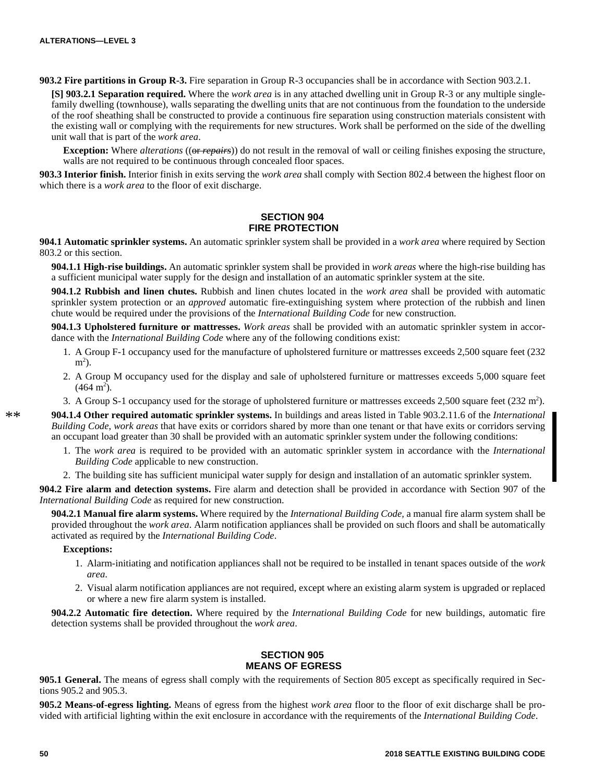**903.2 Fire partitions in Group R-3.** Fire separation in Group R-3 occupancies shall be in accordance with Section 903.2.1.

**[S] 903.2.1 Separation required.** Where the *work area* is in any attached dwelling unit in Group R-3 or any multiple singlefamily dwelling (townhouse), walls separating the dwelling units that are not continuous from the foundation to the underside of the roof sheathing shall be constructed to provide a continuous fire separation using construction materials consistent with the existing wall or complying with the requirements for new structures. Work shall be performed on the side of the dwelling unit wall that is part of the *work area*.

**Exception:** Where *alterations* ((or *repairs*)) do not result in the removal of wall or ceiling finishes exposing the structure, walls are not required to be continuous through concealed floor spaces.

**903.3 Interior finish.** Interior finish in exits serving the *work area* shall comply with Section 802.4 between the highest floor on which there is a *work area* to the floor of exit discharge.

## **SECTION 904 FIRE PROTECTION**

**904.1 Automatic sprinkler systems.** An automatic sprinkler system shall be provided in a *work area* where required by Section 803.2 or this section.

**904.1.1 High-rise buildings.** An automatic sprinkler system shall be provided in *work areas* where the high-rise building has a sufficient municipal water supply for the design and installation of an automatic sprinkler system at the site.

**904.1.2 Rubbish and linen chutes.** Rubbish and linen chutes located in the *work area* shall be provided with automatic sprinkler system protection or an *approved* automatic fire-extinguishing system where protection of the rubbish and linen chute would be required under the provisions of the *International Building Code* for new construction.

**904.1.3 Upholstered furniture or mattresses.** *Work areas* shall be provided with an automatic sprinkler system in accordance with the *International Building Code* where any of the following conditions exist:

- 1. A Group F-1 occupancy used for the manufacture of upholstered furniture or mattresses exceeds 2,500 square feet (232  $m<sup>2</sup>$ ).
- 2. A Group M occupancy used for the display and sale of upholstered furniture or mattresses exceeds 5,000 square feet  $(464 \text{ m}^2)$ .
- 3. A Group S-1 occupancy used for the storage of upholstered furniture or mattresses exceeds  $2,500$  square feet (232 m<sup>2</sup>).

**904.1.4 Other required automatic sprinkler systems.** In buildings and areas listed in Table 903.2.11.6 of the *International Building Code*, *work areas* that have exits or corridors shared by more than one tenant or that have exits or corridors serving an occupant load greater than 30 shall be provided with an automatic sprinkler system under the following conditions:

- 1. The *work area* is required to be provided with an automatic sprinkler system in accordance with the *International Building Code* applicable to new construction.
- 2. The building site has sufficient municipal water supply for design and installation of an automatic sprinkler system.

**904.2 Fire alarm and detection systems.** Fire alarm and detection shall be provided in accordance with Section 907 of the *International Building Code* as required for new construction.

**904.2.1 Manual fire alarm systems.** Where required by the *International Building Code,* a manual fire alarm system shall be provided throughout the *work area*. Alarm notification appliances shall be provided on such floors and shall be automatically activated as required by the *International Building Code*.

### **Exceptions:**

- 1. Alarm-initiating and notification appliances shall not be required to be installed in tenant spaces outside of the *work area*.
- 2. Visual alarm notification appliances are not required, except where an existing alarm system is upgraded or replaced or where a new fire alarm system is installed.

**904.2.2 Automatic fire detection.** Where required by the *International Building Code* for new buildings, automatic fire detection systems shall be provided throughout the *work area*.

### **SECTION 905 MEANS OF EGRESS**

**905.1 General.** The means of egress shall comply with the requirements of Section 805 except as specifically required in Sections 905.2 and 905.3.

**905.2 Means-of-egress lighting.** Means of egress from the highest *work area* floor to the floor of exit discharge shall be provided with artificial lighting within the exit enclosure in accordance with the requirements of the *International Building Code*.

 $**$